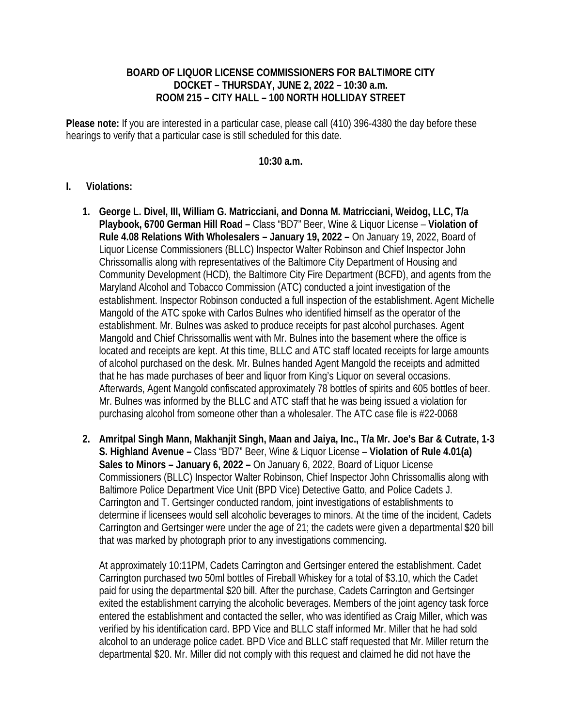## **BOARD OF LIQUOR LICENSE COMMISSIONERS FOR BALTIMORE CITY DOCKET – THURSDAY, JUNE 2, 2022 – 10:30 a.m. ROOM 215 – CITY HALL – 100 NORTH HOLLIDAY STREET**

**Please note:** If you are interested in a particular case, please call (410) 396-4380 the day before these hearings to verify that a particular case is still scheduled for this date.

## **10:30 a.m.**

## **I. Violations:**

- **1. George L. Divel, III, William G. Matricciani, and Donna M. Matricciani, Weidog, LLC, T/a Playbook, 6700 German Hill Road –** Class "BD7" Beer, Wine & Liquor License – **Violation of Rule 4.08 Relations With Wholesalers – January 19, 2022 –** On January 19, 2022, Board of Liquor License Commissioners (BLLC) Inspector Walter Robinson and Chief Inspector John Chrissomallis along with representatives of the Baltimore City Department of Housing and Community Development (HCD), the Baltimore City Fire Department (BCFD), and agents from the Maryland Alcohol and Tobacco Commission (ATC) conducted a joint investigation of the establishment. Inspector Robinson conducted a full inspection of the establishment. Agent Michelle Mangold of the ATC spoke with Carlos Bulnes who identified himself as the operator of the establishment. Mr. Bulnes was asked to produce receipts for past alcohol purchases. Agent Mangold and Chief Chrissomallis went with Mr. Bulnes into the basement where the office is located and receipts are kept. At this time, BLLC and ATC staff located receipts for large amounts of alcohol purchased on the desk. Mr. Bulnes handed Agent Mangold the receipts and admitted that he has made purchases of beer and liquor from King's Liquor on several occasions. Afterwards, Agent Mangold confiscated approximately 78 bottles of spirits and 605 bottles of beer. Mr. Bulnes was informed by the BLLC and ATC staff that he was being issued a violation for purchasing alcohol from someone other than a wholesaler. The ATC case file is #22-0068
- **2. Amritpal Singh Mann, Makhanjit Singh, Maan and Jaiya, Inc., T/a Mr. Joe's Bar & Cutrate, 1-3 S. Highland Avenue –** Class "BD7" Beer, Wine & Liquor License – **Violation of Rule 4.01(a) Sales to Minors – January 6, 2022 –** On January 6, 2022, Board of Liquor License Commissioners (BLLC) Inspector Walter Robinson, Chief Inspector John Chrissomallis along with Baltimore Police Department Vice Unit (BPD Vice) Detective Gatto, and Police Cadets J. Carrington and T. Gertsinger conducted random, joint investigations of establishments to determine if licensees would sell alcoholic beverages to minors. At the time of the incident, Cadets Carrington and Gertsinger were under the age of 21; the cadets were given a departmental \$20 bill that was marked by photograph prior to any investigations commencing.

At approximately 10:11PM, Cadets Carrington and Gertsinger entered the establishment. Cadet Carrington purchased two 50ml bottles of Fireball Whiskey for a total of \$3.10, which the Cadet paid for using the departmental \$20 bill. After the purchase, Cadets Carrington and Gertsinger exited the establishment carrying the alcoholic beverages. Members of the joint agency task force entered the establishment and contacted the seller, who was identified as Craig Miller, which was verified by his identification card. BPD Vice and BLLC staff informed Mr. Miller that he had sold alcohol to an underage police cadet. BPD Vice and BLLC staff requested that Mr. Miller return the departmental \$20. Mr. Miller did not comply with this request and claimed he did not have the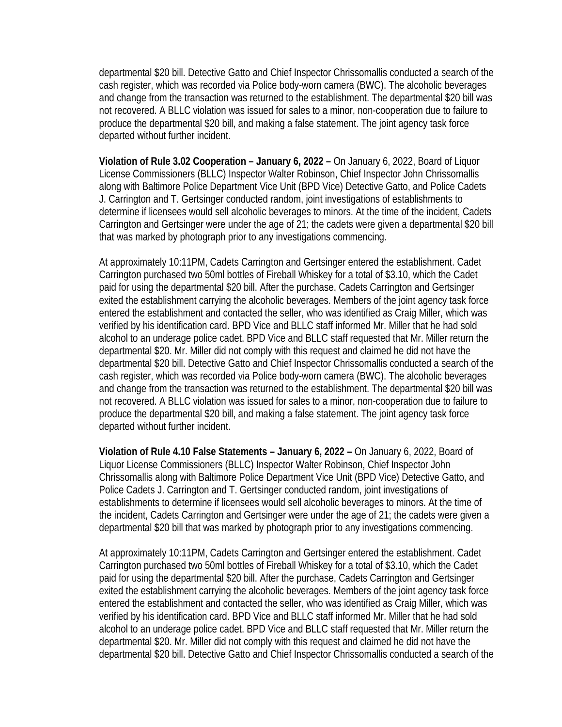departmental \$20 bill. Detective Gatto and Chief Inspector Chrissomallis conducted a search of the cash register, which was recorded via Police body-worn camera (BWC). The alcoholic beverages and change from the transaction was returned to the establishment. The departmental \$20 bill was not recovered. A BLLC violation was issued for sales to a minor, non-cooperation due to failure to produce the departmental \$20 bill, and making a false statement. The joint agency task force departed without further incident.

**Violation of Rule 3.02 Cooperation – January 6, 2022 –** On January 6, 2022, Board of Liquor License Commissioners (BLLC) Inspector Walter Robinson, Chief Inspector John Chrissomallis along with Baltimore Police Department Vice Unit (BPD Vice) Detective Gatto, and Police Cadets J. Carrington and T. Gertsinger conducted random, joint investigations of establishments to determine if licensees would sell alcoholic beverages to minors. At the time of the incident, Cadets Carrington and Gertsinger were under the age of 21; the cadets were given a departmental \$20 bill that was marked by photograph prior to any investigations commencing.

At approximately 10:11PM, Cadets Carrington and Gertsinger entered the establishment. Cadet Carrington purchased two 50ml bottles of Fireball Whiskey for a total of \$3.10, which the Cadet paid for using the departmental \$20 bill. After the purchase, Cadets Carrington and Gertsinger exited the establishment carrying the alcoholic beverages. Members of the joint agency task force entered the establishment and contacted the seller, who was identified as Craig Miller, which was verified by his identification card. BPD Vice and BLLC staff informed Mr. Miller that he had sold alcohol to an underage police cadet. BPD Vice and BLLC staff requested that Mr. Miller return the departmental \$20. Mr. Miller did not comply with this request and claimed he did not have the departmental \$20 bill. Detective Gatto and Chief Inspector Chrissomallis conducted a search of the cash register, which was recorded via Police body-worn camera (BWC). The alcoholic beverages and change from the transaction was returned to the establishment. The departmental \$20 bill was not recovered. A BLLC violation was issued for sales to a minor, non-cooperation due to failure to produce the departmental \$20 bill, and making a false statement. The joint agency task force departed without further incident.

**Violation of Rule 4.10 False Statements – January 6, 2022 –** On January 6, 2022, Board of Liquor License Commissioners (BLLC) Inspector Walter Robinson, Chief Inspector John Chrissomallis along with Baltimore Police Department Vice Unit (BPD Vice) Detective Gatto, and Police Cadets J. Carrington and T. Gertsinger conducted random, joint investigations of establishments to determine if licensees would sell alcoholic beverages to minors. At the time of the incident, Cadets Carrington and Gertsinger were under the age of 21; the cadets were given a departmental \$20 bill that was marked by photograph prior to any investigations commencing.

At approximately 10:11PM, Cadets Carrington and Gertsinger entered the establishment. Cadet Carrington purchased two 50ml bottles of Fireball Whiskey for a total of \$3.10, which the Cadet paid for using the departmental \$20 bill. After the purchase, Cadets Carrington and Gertsinger exited the establishment carrying the alcoholic beverages. Members of the joint agency task force entered the establishment and contacted the seller, who was identified as Craig Miller, which was verified by his identification card. BPD Vice and BLLC staff informed Mr. Miller that he had sold alcohol to an underage police cadet. BPD Vice and BLLC staff requested that Mr. Miller return the departmental \$20. Mr. Miller did not comply with this request and claimed he did not have the departmental \$20 bill. Detective Gatto and Chief Inspector Chrissomallis conducted a search of the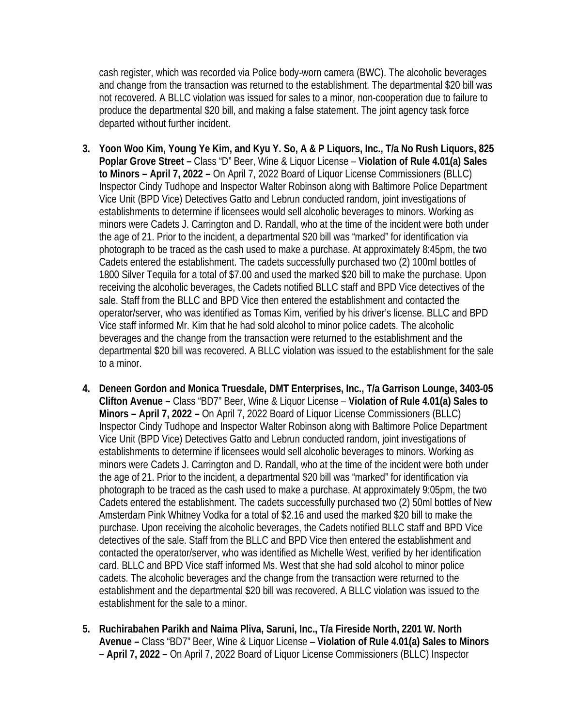cash register, which was recorded via Police body-worn camera (BWC). The alcoholic beverages and change from the transaction was returned to the establishment. The departmental \$20 bill was not recovered. A BLLC violation was issued for sales to a minor, non-cooperation due to failure to produce the departmental \$20 bill, and making a false statement. The joint agency task force departed without further incident.

- **3. Yoon Woo Kim, Young Ye Kim, and Kyu Y. So, A & P Liquors, Inc., T/a No Rush Liquors, 825 Poplar Grove Street –** Class "D" Beer, Wine & Liquor License – **Violation of Rule 4.01(a) Sales to Minors – April 7, 2022 –** On April 7, 2022 Board of Liquor License Commissioners (BLLC) Inspector Cindy Tudhope and Inspector Walter Robinson along with Baltimore Police Department Vice Unit (BPD Vice) Detectives Gatto and Lebrun conducted random, joint investigations of establishments to determine if licensees would sell alcoholic beverages to minors. Working as minors were Cadets J. Carrington and D. Randall, who at the time of the incident were both under the age of 21. Prior to the incident, a departmental \$20 bill was "marked" for identification via photograph to be traced as the cash used to make a purchase. At approximately 8:45pm, the two Cadets entered the establishment. The cadets successfully purchased two (2) 100ml bottles of 1800 Silver Tequila for a total of \$7.00 and used the marked \$20 bill to make the purchase. Upon receiving the alcoholic beverages, the Cadets notified BLLC staff and BPD Vice detectives of the sale. Staff from the BLLC and BPD Vice then entered the establishment and contacted the operator/server, who was identified as Tomas Kim, verified by his driver's license. BLLC and BPD Vice staff informed Mr. Kim that he had sold alcohol to minor police cadets. The alcoholic beverages and the change from the transaction were returned to the establishment and the departmental \$20 bill was recovered. A BLLC violation was issued to the establishment for the sale to a minor.
- **4. Deneen Gordon and Monica Truesdale, DMT Enterprises, Inc., T/a Garrison Lounge, 3403-05 Clifton Avenue –** Class "BD7" Beer, Wine & Liquor License – **Violation of Rule 4.01(a) Sales to Minors – April 7, 2022 –** On April 7, 2022 Board of Liquor License Commissioners (BLLC) Inspector Cindy Tudhope and Inspector Walter Robinson along with Baltimore Police Department Vice Unit (BPD Vice) Detectives Gatto and Lebrun conducted random, joint investigations of establishments to determine if licensees would sell alcoholic beverages to minors. Working as minors were Cadets J. Carrington and D. Randall, who at the time of the incident were both under the age of 21. Prior to the incident, a departmental \$20 bill was "marked" for identification via photograph to be traced as the cash used to make a purchase. At approximately 9:05pm, the two Cadets entered the establishment. The cadets successfully purchased two (2) 50ml bottles of New Amsterdam Pink Whitney Vodka for a total of \$2.16 and used the marked \$20 bill to make the purchase. Upon receiving the alcoholic beverages, the Cadets notified BLLC staff and BPD Vice detectives of the sale. Staff from the BLLC and BPD Vice then entered the establishment and contacted the operator/server, who was identified as Michelle West, verified by her identification card. BLLC and BPD Vice staff informed Ms. West that she had sold alcohol to minor police cadets. The alcoholic beverages and the change from the transaction were returned to the establishment and the departmental \$20 bill was recovered. A BLLC violation was issued to the establishment for the sale to a minor.
- **5. Ruchirabahen Parikh and Naima Pliva, Saruni, Inc., T/a Fireside North, 2201 W. North Avenue –** Class "BD7" Beer, Wine & Liquor License – **Violation of Rule 4.01(a) Sales to Minors – April 7, 2022 –** On April 7, 2022 Board of Liquor License Commissioners (BLLC) Inspector